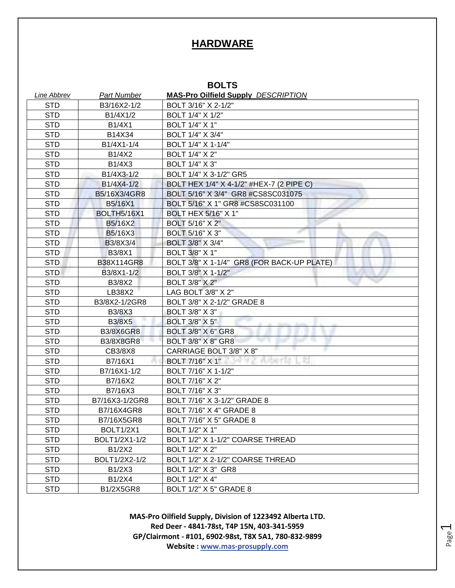### **HARDWARE**

| <b>BOLTS</b> |                    |                                            |
|--------------|--------------------|--------------------------------------------|
| Line Abbrev  | <b>Part Number</b> | <b>MAS-Pro Oilfield Supply DESCRIPTION</b> |
| <b>STD</b>   | B3/16X2-1/2        | BOLT 3/16" X 2-1/2"                        |
| <b>STD</b>   | B1/4X1/2           | BOLT 1/4" X 1/2"                           |
| <b>STD</b>   | B1/4X1             | BOLT 1/4" X 1"                             |
| <b>STD</b>   | B14X34             | BOLT 1/4" X 3/4"                           |
| <b>STD</b>   | B1/4X1-1/4         | BOLT 1/4" X 1-1/4"                         |
| <b>STD</b>   | B1/4X2             | <b>BOLT 1/4" X 2"</b>                      |
| <b>STD</b>   | B1/4X3             | BOLT 1/4" X 3"                             |
| <b>STD</b>   | B1/4X3-1/2         | BOLT 1/4" X 3-1/2" GR5                     |
| <b>STD</b>   | B1/4X4-1/2         | BOLT HEX 1/4" X 4-1/2" #HEX-7 (2 PIPE C)   |
| <b>STD</b>   | B5/16X3/4GR8       | BOLT 5/16" X 3/4" GR8 #CS8SC031075         |
| <b>STD</b>   | B5/16X1            | BOLT 5/16" X 1" GR8 #CS8SC031100           |
| <b>STD</b>   | <b>BOLTH5/16X1</b> | BOLT HEX 5/16" X 1"                        |
| <b>STD</b>   | B5/16X2            | BOLT 5/16" X 2"                            |
| <b>STD</b>   | B5/16X3            | BOLT 5/16" X 3"                            |
| <b>STD</b>   | B3/8X3/4           | BOLT 3/8" X 3/4"                           |
| <b>STD</b>   | <b>B3/8X1</b>      | BOLT 3/8" X 1"                             |
| <b>STD</b>   | B38X114GR8         | BOLT 3/8" X 1-1/4" GR8 (FOR BACK-UP PLATE) |
| <b>STD</b>   | B3/8X1-1/2         | BOLT 3/8" X 1-1/2"                         |
| <b>STD</b>   | B3/8X2             | BOLT 3/8" X 2"                             |
| <b>STD</b>   | LB38X2             | LAG BOLT 3/8" X 2"                         |
| <b>STD</b>   | B3/8X2-1/2GR8      | BOLT 3/8" X 2-1/2" GRADE 8                 |
| <b>STD</b>   | <b>B3/8X3</b>      | BOLT 3/8" X 3"                             |
| <b>STD</b>   | <b>B3/8X5</b>      | <b>BOLT 3/8" X 5"</b>                      |
| <b>STD</b>   | <b>B3/8X6GR8</b>   | BOLT 3/8" X 6" GR8                         |
| <b>STD</b>   | <b>B3/8X8GR8</b>   | <b>BOLT 3/8" X 8" GR8</b>                  |
| <b>STD</b>   | CB3/8X8            | CARRIAGE BOLT 3/8" X 8"                    |
| <b>STD</b>   | B7/16X1            | BOLT 7/16" X 1"                            |
| <b>STD</b>   | B7/16X1-1/2        | BOLT 7/16" X 1-1/2"                        |
| <b>STD</b>   | B7/16X2            | BOLT 7/16" X 2"                            |
| <b>STD</b>   | B7/16X3            | BOLT 7/16" X 3"                            |
| <b>STD</b>   | B7/16X3-1/2GR8     | BOLT 7/16" X 3-1/2" GRADE 8                |
| <b>STD</b>   | B7/16X4GR8         | <b>BOLT 7/16" X 4" GRADE 8</b>             |
| <b>STD</b>   | B7/16X5GR8         | <b>BOLT 7/16" X 5" GRADE 8</b>             |
| <b>STD</b>   | BOLT1/2X1          | BOLT 1/2" X 1"                             |
| <b>STD</b>   | BOLT1/2X1-1/2      | BOLT 1/2" X 1-1/2" COARSE THREAD           |
| <b>STD</b>   | B1/2X2             | BOLT 1/2" X 2"                             |
| <b>STD</b>   | BOLT1/2X2-1/2      | BOLT 1/2" X 2-1/2" COARSE THREAD           |
| <b>STD</b>   | B1/2X3             | BOLT 1/2" X 3" GR8                         |
| <b>STD</b>   | B1/2X4             | BOLT 1/2" X 4"                             |
| <b>STD</b>   | <b>B1/2X5GR8</b>   | <b>BOLT 1/2" X 5" GRADE 8</b>              |

**MAS-Pro Oilfield Supply, Division of 1223492 Alberta LTD. Red Deer - 4841-78st, T4P 15N, 403-341-5959 GP/Clairmont - #101, 6902-98st, T8X 5A1, 780-832-9899 Website : www.mas-prosupply.com**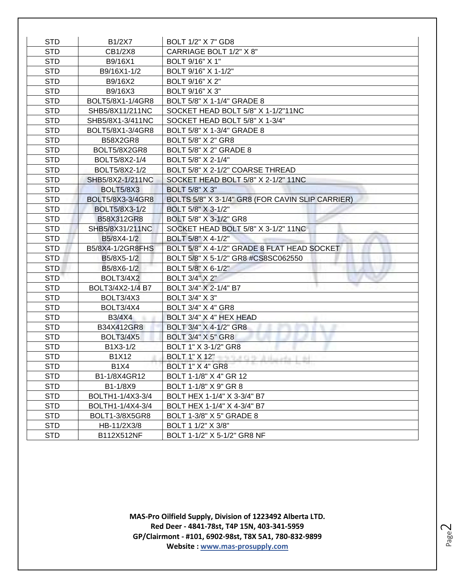| <b>STD</b> | B1/2X7           | BOLT 1/2" X 7" GD8                               |
|------------|------------------|--------------------------------------------------|
| <b>STD</b> | CB1/2X8          | CARRIAGE BOLT 1/2" X 8"                          |
| <b>STD</b> | B9/16X1          | BOLT 9/16" X 1"                                  |
| <b>STD</b> | B9/16X1-1/2      | BOLT 9/16" X 1-1/2"                              |
| <b>STD</b> | B9/16X2          | BOLT 9/16" X 2"                                  |
| <b>STD</b> | B9/16X3          | BOLT 9/16" X 3"                                  |
| <b>STD</b> | BOLT5/8X1-1/4GR8 | BOLT 5/8" X 1-1/4" GRADE 8                       |
| <b>STD</b> | SHB5/8X11/211NC  | SOCKET HEAD BOLT 5/8" X 1-1/2"11NC               |
| <b>STD</b> | SHB5/8X1-3/411NC | SOCKET HEAD BOLT 5/8" X 1-3/4"                   |
| <b>STD</b> | BOLT5/8X1-3/4GR8 | BOLT 5/8" X 1-3/4" GRADE 8                       |
| <b>STD</b> | <b>B58X2GR8</b>  | BOLT 5/8" X 2" GR8                               |
| <b>STD</b> | BOLT5/8X2GR8     | <b>BOLT 5/8" X 2" GRADE 8</b>                    |
| <b>STD</b> | BOLT5/8X2-1/4    | BOLT 5/8" X 2-1/4"                               |
| <b>STD</b> | BOLT5/8X2-1/2    | BOLT 5/8" X 2-1/2" COARSE THREAD                 |
| <b>STD</b> | SHB5/8X2-1/211NC | SOCKET HEAD BOLT 5/8" X 2-1/2" 11NC              |
| <b>STD</b> | <b>BOLT5/8X3</b> | <b>BOLT 5/8" X 3"</b>                            |
| <b>STD</b> | BOLT5/8X3-3/4GR8 | BOLTS 5/8" X 3-1/4" GR8 (FOR CAVIN SLIP CARRIER) |
| <b>STD</b> | BOLT5/8X3-1/2    | BOLT 5/8" X 3-1/2"                               |
| <b>STD</b> | B58X312GR8       | BOLT 5/8" X 3-1/2" GR8                           |
| <b>STD</b> | SHB5/8X31/211NC  | SOCKET HEAD BOLT 5/8" X 3-1/2" 11NC              |
| <b>STD</b> | B5/8X4-1/2       | BOLT 5/8" X 4-1/2"                               |
| <b>STD</b> | B5/8X4-1/2GR8FHS | BOLT 5/8" X 4-1/2" GRADE 8 FLAT HEAD SOCKET      |
| <b>STD</b> | B5/8X5-1/2       | BOLT 5/8" X 5-1/2" GR8 #CS8SC062550              |
| <b>STD</b> | B5/8X6-1/2       | BOLT 5/8" X 6-1/2"                               |
| <b>STD</b> | BOLT3/4X2        | <b>BOLT 3/4" X 2"</b>                            |
| <b>STD</b> | BOLT3/4X2-1/4 B7 | BOLT 3/4" X 2-1/4" B7                            |
| <b>STD</b> | BOLT3/4X3        | <b>BOLT 3/4" X 3"</b>                            |
| <b>STD</b> | BOLT3/4X4        | <b>BOLT 3/4" X 4" GR8</b>                        |
| <b>STD</b> | <b>B3/4X4</b>    | BOLT 3/4" X 4" HEX HEAD                          |
| <b>STD</b> | B34X412GR8       | BOLT 3/4" X 4-1/2" GR8                           |
| <b>STD</b> | BOLT3/4X5        | <b>BOLT 3/4" X 5" GR8</b>                        |
| <b>STD</b> | B1X3-1/2         | BOLT 1" X 3-1/2" GR8                             |
| <b>STD</b> | <b>B1X12</b>     | <b>BOLT 1" X 12" BOLT 1"</b> X 12"               |
| <b>STD</b> | <b>B1X4</b>      | <b>BOLT 1" X 4" GR8</b>                          |
| <b>STD</b> | B1-1/8X4GR12     | BOLT 1-1/8" X 4" GR 12                           |
| <b>STD</b> | B1-1/8X9         | BOLT 1-1/8" X 9" GR 8                            |
| <b>STD</b> | BOLTH1-1/4X3-3/4 | BOLT HEX 1-1/4" X 3-3/4" B7                      |
| <b>STD</b> | BOLTH1-1/4X4-3/4 | BOLT HEX 1-1/4" X 4-3/4" B7                      |
| <b>STD</b> | BOLT1-3/8X5GR8   | BOLT 1-3/8" X 5" GRADE 8                         |
| <b>STD</b> | HB-11/2X3/8      | BOLT 1 1/2" X 3/8"                               |
| <b>STD</b> | B112X512NF       | BOLT 1-1/2" X 5-1/2" GR8 NF                      |

**MAS-Pro Oilfield Supply, Division of 1223492 Alberta LTD. Red Deer - 4841-78st, T4P 15N, 403-341-5959 GP/Clairmont - #101, 6902-98st, T8X 5A1, 780-832-9899 Website : www.mas-prosupply.com**

Page  $\mathrel{\sim}$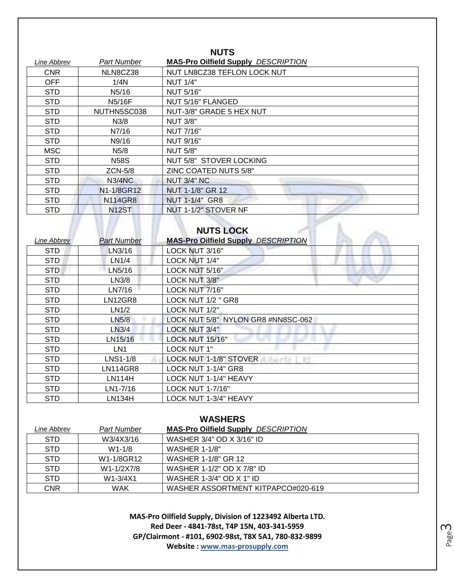| <b>NUTS</b> |                    |                                            |
|-------------|--------------------|--------------------------------------------|
| Line Abbrev | Part Number        | <b>MAS-Pro Oilfield Supply DESCRIPTION</b> |
| CNR.        | NLN8CZ38           | NUT LN8CZ38 TEFLON LOCK NUT                |
| <b>OFF</b>  | 1/4N               | <b>NUT 1/4"</b>                            |
| <b>STD</b>  | N <sub>5</sub> /16 | <b>NUT 5/16"</b>                           |
| <b>STD</b>  | N5/16F             | NUT 5/16" FLANGED                          |
| <b>STD</b>  | NUTHN5SC038        | NUT-3/8" GRADE 5 HEX NUT                   |
| <b>STD</b>  | N3/8               | <b>NUT 3/8"</b>                            |
| <b>STD</b>  | N7/16              | <b>NUT 7/16"</b>                           |
| <b>STD</b>  | N9/16              | <b>NUT 9/16"</b>                           |
| <b>MSC</b>  | N <sub>5</sub> /8  | <b>NUT 5/8"</b>                            |
| <b>STD</b>  | <b>N58S</b>        | NUT 5/8" STOVER LOCKING                    |
| <b>STD</b>  | ZCN-5/8            | ZINC COATED NUTS 5/8"                      |
| <b>STD</b>  | N3/4NC             | <b>NUT 3/4" NC</b>                         |
| <b>STD</b>  | N1-1/8GR12         | NUT 1-1/8" GR 12                           |
| <b>STD</b>  | <b>N114GR8</b>     | <b>NUT 1-1/4" GR8</b>                      |
| <b>STD</b>  | <b>N12ST</b>       | NUT 1-1/2" STOVER NF                       |

## **NUTS LOCK**

k

| Line Abbrev | <b>Part Number</b> | <b>MAS-Pro Oilfield Supply DESCRIPTION</b> |
|-------------|--------------------|--------------------------------------------|
| <b>STD</b>  | LN3/16             | LOCK NUT 3/16"                             |
| <b>STD</b>  | LN1/4              | LOCK NUT 1/4"                              |
| <b>STD</b>  | LN5/16             | LOCK NUT 5/16"                             |
| <b>STD</b>  | LN3/8              | LOCK NUT 3/8"                              |
| <b>STD</b>  | LN7/16             | LOCK NUT 7/16"                             |
| <b>STD</b>  | LN12GR8            | LOCK NUT 1/2 " GR8                         |
| <b>STD</b>  | LN1/2              | LOCK NUT 1/2"                              |
| <b>STD</b>  | LN5/8              | LOCK NUT 5/8" NYLON GR8 #NN8SC-062         |
| <b>STD</b>  | LN3/4              | LOCK NUT 3/4"                              |
| <b>STD</b>  | LN15/16            | <b>LOCK NUT 15/16"</b>                     |
| STD         | LN <sub>1</sub>    | LOCK NUT 1"                                |
| <b>STD</b>  | LNS1-1/8           | LOCK NUT 1-1/8" STOVER                     |
| <b>STD</b>  | <b>LN114GR8</b>    | LOCK NUT 1-1/4" GR8                        |
| STD         | LN114H             | LOCK NUT 1-1/4" HEAVY                      |
| <b>STD</b>  | LN1-7/16           | <b>LOCK NUT 1-7/16"</b>                    |
| <b>STD</b>  | LN134H             | LOCK NUT 1-3/4" HEAVY                      |

| <b>WASHERS</b> |
|----------------|
|----------------|

| Line Abbrev | <b>Part Number</b>                  | <b>MAS-Pro Oilfield Supply DESCRIPTION</b> |
|-------------|-------------------------------------|--------------------------------------------|
| <b>STD</b>  | W3/4X3/16                           | WASHER 3/4" OD X 3/16" ID                  |
| <b>STD</b>  | $W1 - 1/8$                          | <b>WASHER 1-1/8"</b>                       |
| <b>STD</b>  | W <sub>1</sub> -1/8GR <sub>12</sub> | WASHER 1-1/8" GR 12                        |
| <b>STD</b>  | W1-1/2X7/8                          | WASHER 1-1/2" OD X 7/8" ID                 |
| <b>STD</b>  | W1-3/4X1                            | WASHER 1-3/4" OD X 1" ID                   |
| <b>CNR</b>  | WAK                                 | WASHER ASSORTMENT KITPAPCO#020-619         |

**MAS-Pro Oilfield Supply, Division of 1223492 Alberta LTD. Red Deer - 4841-78st, T4P 15N, 403-341-5959 GP/Clairmont - #101, 6902-98st, T8X 5A1, 780-832-9899 Website : www.mas-prosupply.com**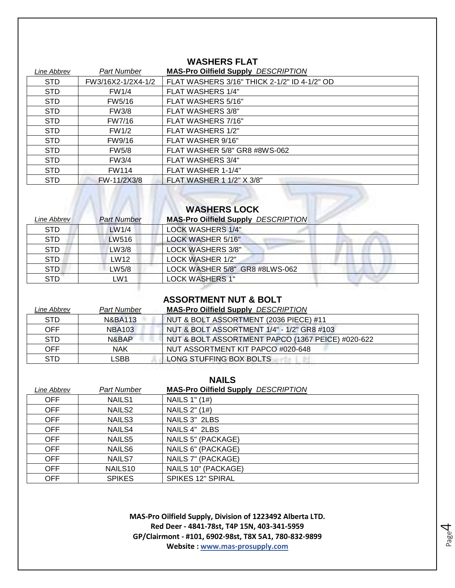#### **WASHERS FLAT**

| Line Abbrev | Part Number        | <b>MAS-Pro Oilfield Supply DESCRIPTION</b>   |
|-------------|--------------------|----------------------------------------------|
| <b>STD</b>  | FW3/16X2-1/2X4-1/2 | FLAT WASHERS 3/16" THICK 2-1/2" ID 4-1/2" OD |
| <b>STD</b>  | <b>FW1/4</b>       | FLAT WASHERS 1/4"                            |
| <b>STD</b>  | FW5/16             | FLAT WASHERS 5/16"                           |
| <b>STD</b>  | <b>FW3/8</b>       | FLAT WASHERS 3/8"                            |
| <b>STD</b>  | FW7/16             | FLAT WASHERS 7/16"                           |
| <b>STD</b>  | <b>FW1/2</b>       | <b>FLAT WASHERS 1/2"</b>                     |
| <b>STD</b>  | FW9/16             | FLAT WASHER 9/16"                            |
| <b>STD</b>  | <b>FW5/8</b>       | FLAT WASHER 5/8" GR8 #8WS-062                |
| <b>STD</b>  | <b>FW3/4</b>       | FLAT WASHERS 3/4"                            |
| <b>STD</b>  | <b>FW114</b>       | FLAT WASHER 1-1/4"                           |
| <b>STD</b>  | FW-11/2X3/8        | <b>FLAT WASHER 1 1/2" X 3/8"</b>             |

# **WASHERS LOCK**

| Line Abbrev | <b>Part Number</b> | <b>MAS-Pro Oilfield Supply DESCRIPTION</b> |
|-------------|--------------------|--------------------------------------------|
| <b>STD</b>  | LW1/4              | <b>LOCK WASHERS 1/4"</b>                   |
| <b>STD</b>  | LW516              | LOCK WASHER 5/16"                          |
| <b>STD</b>  | LW3/8              | <b>LOCK WASHERS 3/8"</b>                   |
| <b>STD</b>  | LW12               | <b>LOCK WASHER 1/2"</b>                    |
| <b>STD</b>  | LW5/8              | LOCK WASHER 5/8" GR8 #8LWS-062             |
| <b>STD</b>  | LW1                | <b>LOCK WASHERS 1"</b>                     |
|             |                    |                                            |

#### **ASSORTMENT NUT & BOLT**

| Line Abbrev | Part Number        | <b>MAS-Pro Oilfield Supply DESCRIPTION</b>        |
|-------------|--------------------|---------------------------------------------------|
| STD.        | <b>N&amp;BA113</b> | NUT & BOLT ASSORTMENT (2036 PIECE) #11            |
| OFF         | <b>NBA103</b>      | NUT & BOLT ASSORTMENT 1/4" - 1/2" GR8 #103        |
| <b>STD</b>  | N&BAP              | NUT & BOLT ASSORTMENT PAPCO (1367 PEICE) #020-622 |
| OFF         | <b>NAK</b>         | NUT ASSORTMENT KIT PAPCO #020-648                 |
| <b>STD</b>  | LSBB               | LONG STUFFING BOX BOLTS                           |

**NAILS**

| NAILƏ       |                     |                                            |
|-------------|---------------------|--------------------------------------------|
| Line Abbrev | Part Number         | <b>MAS-Pro Oilfield Supply DESCRIPTION</b> |
| <b>OFF</b>  | NAILS1              | NAILS 1" (1#)                              |
| <b>OFF</b>  | NAILS <sub>2</sub>  | NAILS 2" (1#)                              |
| <b>OFF</b>  | NAILS3              | NAILS 3" 2LBS                              |
| <b>OFF</b>  | NAILS4              | NAILS 4" 2LBS                              |
| <b>OFF</b>  | NAILS5              | NAILS 5" (PACKAGE)                         |
| <b>OFF</b>  | NAILS6              | NAILS 6" (PACKAGE)                         |
| <b>OFF</b>  | <b>NAILS7</b>       | NAILS 7" (PACKAGE)                         |
| <b>OFF</b>  | NAILS <sub>10</sub> | NAILS 10" (PACKAGE)                        |
| <b>OFF</b>  | <b>SPIKES</b>       | <b>SPIKES 12" SPIRAL</b>                   |

**MAS-Pro Oilfield Supply, Division of 1223492 Alberta LTD. Red Deer - 4841-78st, T4P 15N, 403-341-5959 GP/Clairmont - #101, 6902-98st, T8X 5A1, 780-832-9899 Website : www.mas-prosupply.com**

Page 4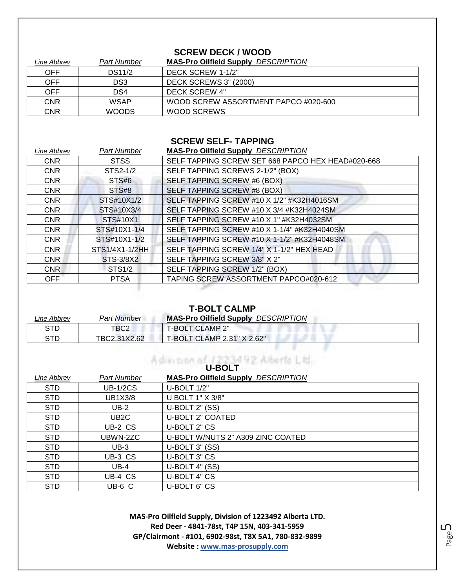#### **SCREW DECK / WOOD**

| Line Abbrev | Part Number     | <b>MAS-Pro Oilfield Supply DESCRIPTION</b> |
|-------------|-----------------|--------------------------------------------|
| <b>OFF</b>  | DS11/2          | DECK SCREW 1-1/2"                          |
| OFF         | DS <sub>3</sub> | <b>DECK SCREWS 3" (2000)</b>               |
| <b>OFF</b>  | DS4             | DECK SCREW 4"                              |
| CNR         | <b>WSAP</b>     | WOOD SCREW ASSORTMENT PAPCO #020-600       |
| CNR         | WOODS           | WOOD SCREWS                                |

#### **SCREW SELF- TAPPING**

| Line Abbrev | <b>Part Number</b> | <b>MAS-Pro Oilfield Supply DESCRIPTION</b>        |
|-------------|--------------------|---------------------------------------------------|
| <b>CNR</b>  | <b>STSS</b>        | SELF TAPPING SCREW SET 668 PAPCO HEX HEAD#020-668 |
| <b>CNR</b>  | STS2-1/2           | SELF TAPPING SCREWS 2-1/2" (BOX)                  |
| <b>CNR</b>  | STS#6              | SELF TAPPING SCREW #6 (BOX)                       |
| <b>CNR</b>  | STS#8              | SELF TAPPING SCREW #8 (BOX)                       |
| <b>CNR</b>  | STS#10X1/2         | SELF TAPPING SCREW #10 X 1/2" #K32H4016SM         |
| <b>CNR</b>  | STS#10X3/4         | SELF TAPPING SCREW #10 X 3/4 #K32H4024SM          |
| <b>CNR</b>  | STS#10X1           | SELF TAPPING SCREW #10 X 1" #K32H4032SM           |
| <b>CNR</b>  | STS#10X1-1/4       | SELF TAPPING SCREW #10 X 1-1/4" #K32H4040SM       |
| <b>CNR</b>  | STS#10X1-1/2       | SELF TAPPING SCREW #10 X 1-1/2" #K32H4048SM       |
| <b>CNR</b>  | STS1/4X1-1/2HH     | SELF TAPPING SCREW 1/4" X 1-1/2" HEX HEAD         |
| <b>CNR</b>  | STS-3/8X2          | SELF TAPPING SCREW 3/8" X 2"                      |
| <b>CNR</b>  | <b>STS1/2</b>      | SELF TAPPING SCREW 1/2" (BOX)                     |
| <b>OFF</b>  | <b>PTSA</b>        | TAPING SCREW ASSORTMENT PAPCO#020-612             |
|             |                    |                                                   |

#### **T-BOLT CALMP**

| Line Abbrev | Part Number  | <b>MAS-Pro Oilfield Supply DESCRIPTION</b> |
|-------------|--------------|--------------------------------------------|
| STD         | TBC2         | T-BOLT CLAMP 2"                            |
| STD         | TBC2.31X2.62 | T-BOLT CLAMP 2.31" X 2.62"                 |

#### **U-BOLT**

| Line Abbrev | Part Number       | <b>MAS-Pro Oilfield Supply DESCRIPTION</b> |
|-------------|-------------------|--------------------------------------------|
| <b>STD</b>  | <b>UB-1/2CS</b>   | <b>U-BOLT 1/2"</b>                         |
| <b>STD</b>  | <b>UB1X3/8</b>    | U BOLT 1" X 3/8"                           |
| <b>STD</b>  | $UB-2$            | U-BOLT 2" (SS)                             |
| <b>STD</b>  | UB <sub>2</sub> C | U-BOLT 2" COATED                           |
| <b>STD</b>  | UB-2 CS           | U-BOLT 2" CS                               |
| <b>STD</b>  | UBWN-2ZC          | U-BOLT W/NUTS 2" A309 ZINC COATED          |
| <b>STD</b>  | $UB-3$            | U-BOLT 3" (SS)                             |
| <b>STD</b>  | UB-3 CS           | U-BOLT 3" CS                               |
| <b>STD</b>  | $UB-4$            | U-BOLT 4" (SS)                             |
| <b>STD</b>  | UB-4 CS           | U-BOLT 4" CS                               |
| <b>STD</b>  | <b>UB-6 C</b>     | U-BOLT 6" CS                               |
|             |                   |                                            |

**MAS-Pro Oilfield Supply, Division of 1223492 Alberta LTD. Red Deer - 4841-78st, T4P 15N, 403-341-5959 GP/Clairmont - #101, 6902-98st, T8X 5A1, 780-832-9899 Website : www.mas-prosupply.com**

Page ഥ